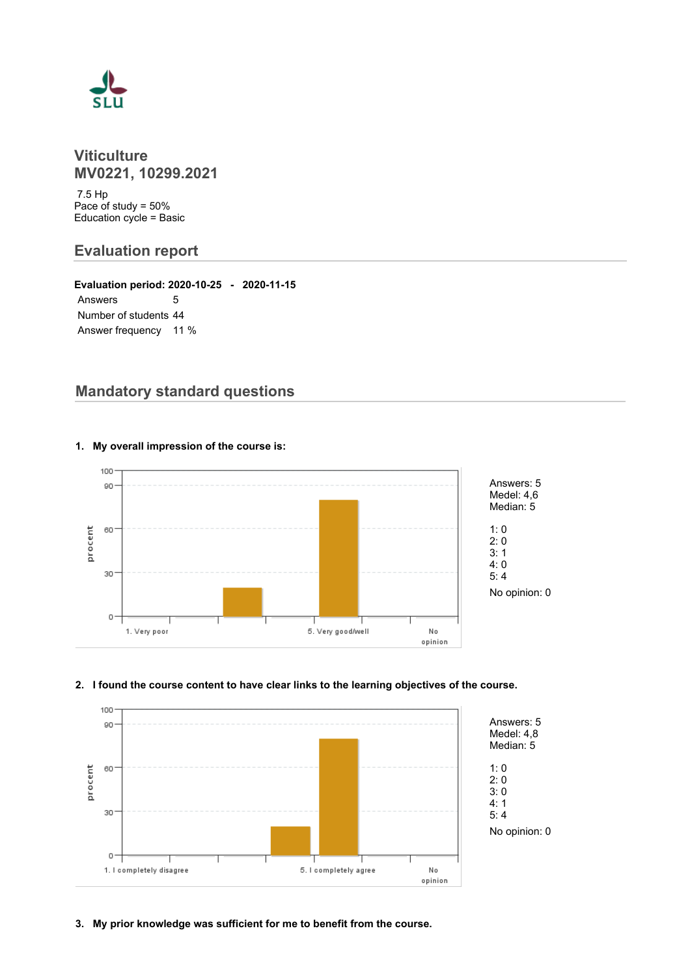

## **Viticulture MV0221, 10299.2021**

 7.5 Hp Pace of study = 50% Education cycle = Basic

## **Evaluation report**

**Evaluation period: 2020-10-25 - 2020-11-15** Answers 5 Number of students 44 Answer frequency 11 %

# **Mandatory standard questions**



#### **1. My overall impression of the course is:**

#### **2. I found the course content to have clear links to the learning objectives of the course.**



**3. My prior knowledge was sufficient for me to benefit from the course.**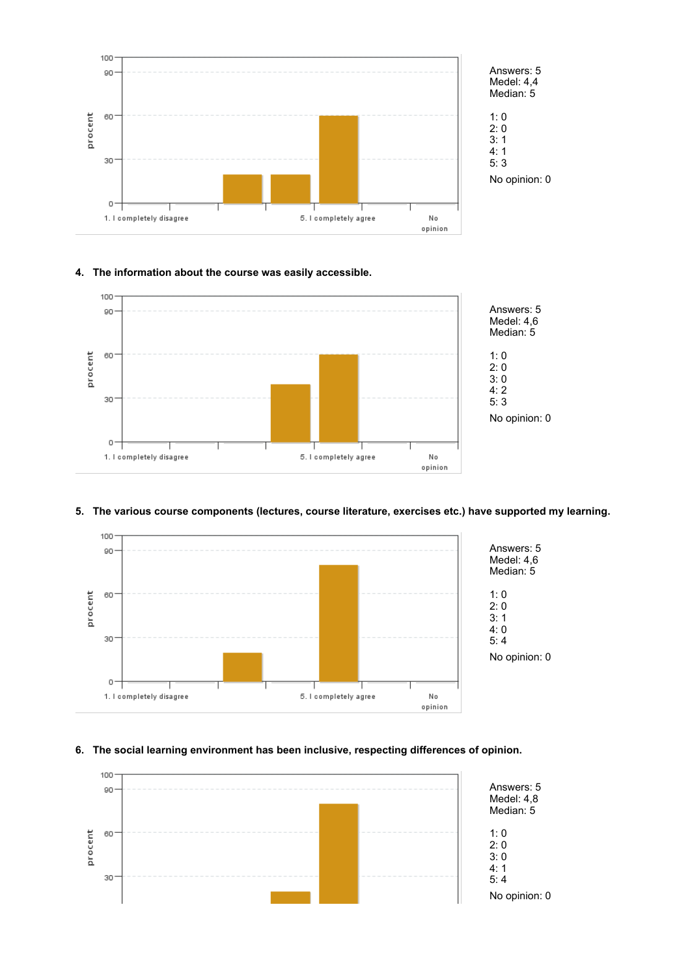



### **4. The information about the course was easily accessible.**



#### **5. The various course components (lectures, course literature, exercises etc.) have supported my learning.**



#### **6. The social learning environment has been inclusive, respecting differences of opinion.**

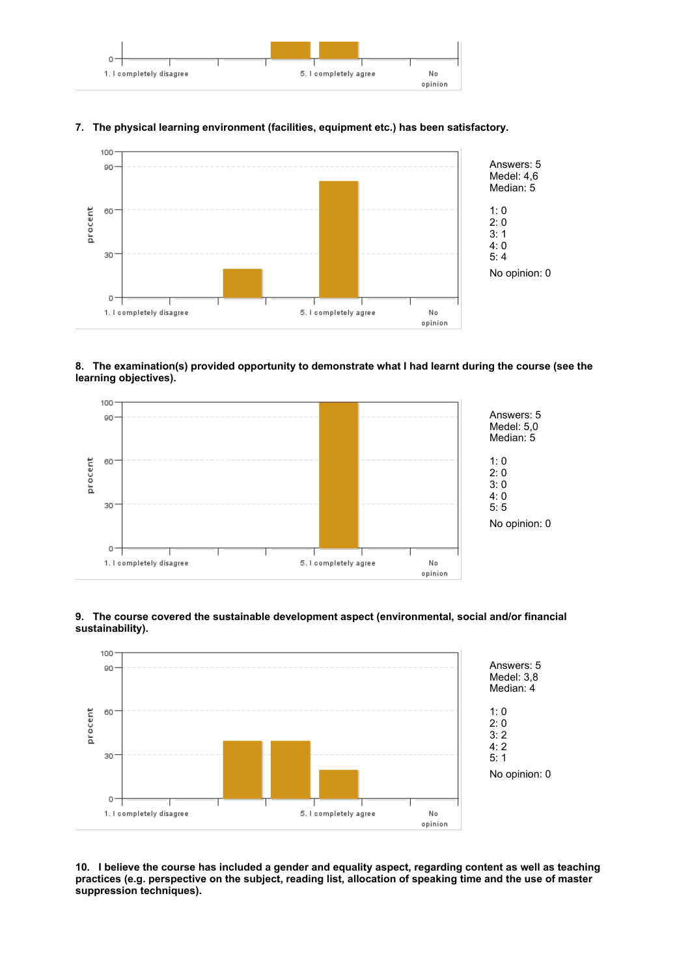

#### **7. The physical learning environment (facilities, equipment etc.) has been satisfactory.**



#### **8. The examination(s) provided opportunity to demonstrate what I had learnt during the course (see the learning objectives).**





#### **9. The course covered the sustainable development aspect (environmental, social and/or financial sustainability).**

**10. I believe the course has included a gender and equality aspect, regarding content as well as teaching practices (e.g. perspective on the subject, reading list, allocation of speaking time and the use of master suppression techniques).**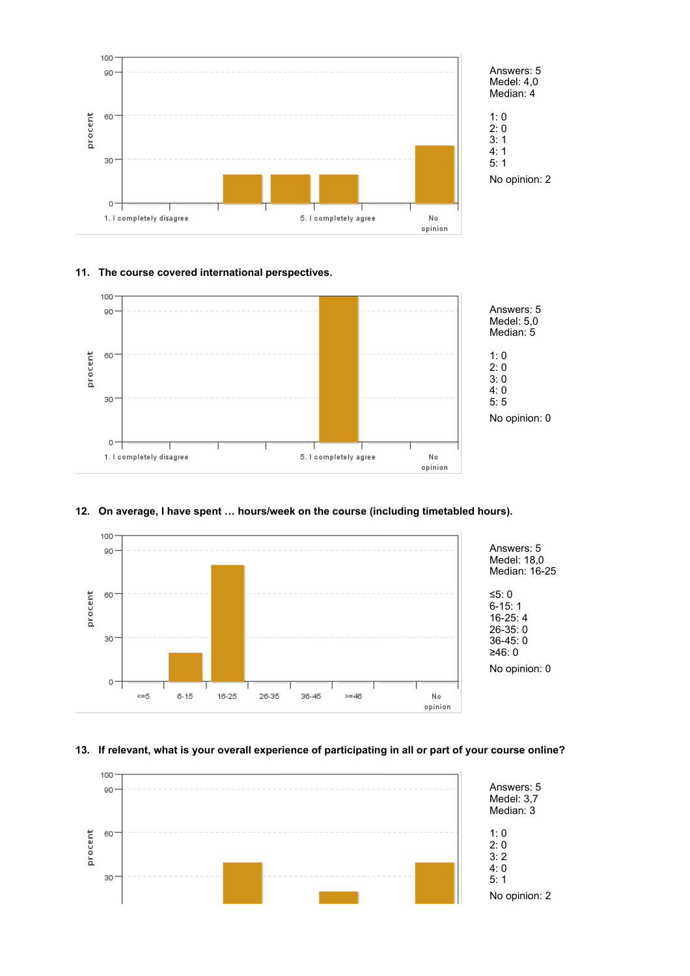

# **11. The course covered international perspectives.**



#### **12. On average, I have spent … hours/week on the course (including timetabled hours).**



#### **13. If relevant, what is your overall experience of participating in all or part of your course online?**